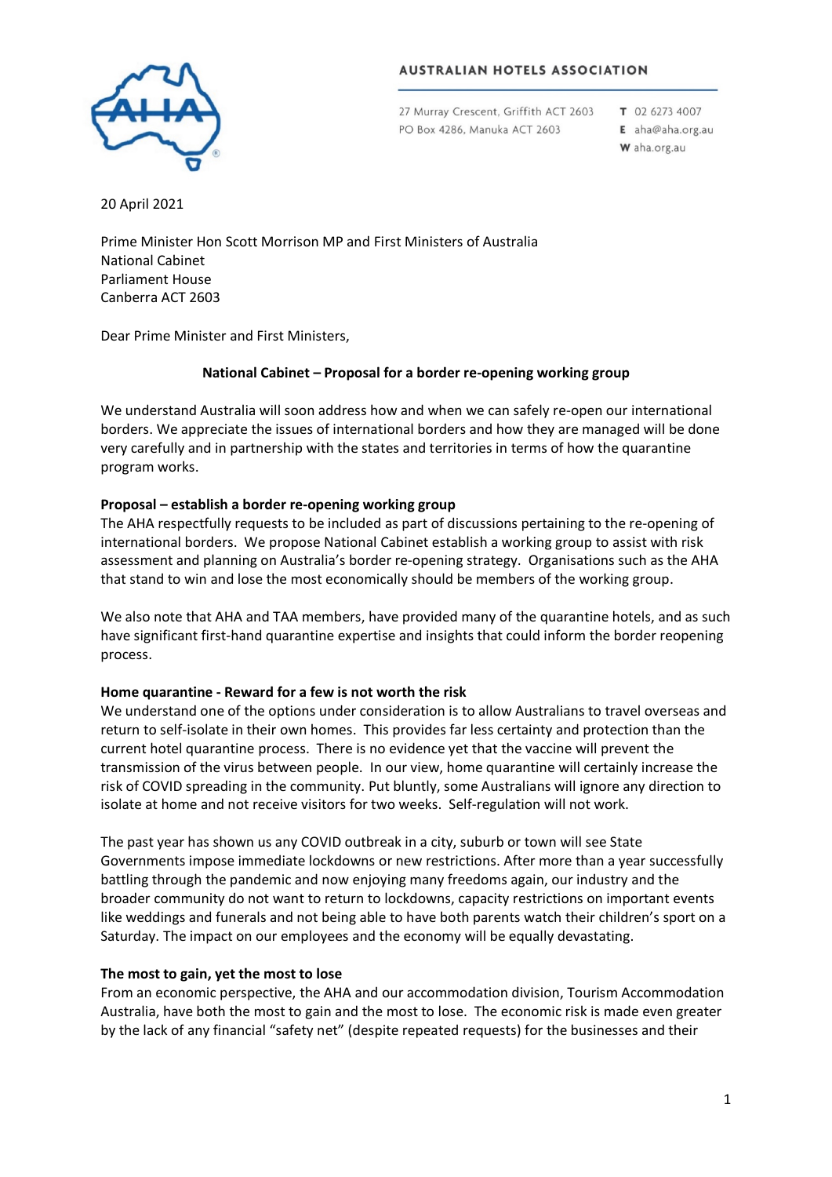#### **AUSTRALIAN HOTELS ASSOCIATION**



27 Murray Crescent, Griffith ACT 2603 PO Box 4286, Manuka ACT 2603

T 02 6273 4007 E aha@aha.org.au W aha.org.au

20 April 2021

Prime Minister Hon Scott Morrison MP and First Ministers of Australia National Cabinet Parliament House Canberra ACT 2603

Dear Prime Minister and First Ministers,

# **National Cabinet – Proposal for a border re-opening working group**

We understand Australia will soon address how and when we can safely re-open our international borders. We appreciate the issues of international borders and how they are managed will be done very carefully and in partnership with the states and territories in terms of how the quarantine program works.

# **Proposal – establish a border re-opening working group**

The AHA respectfully requests to be included as part of discussions pertaining to the re-opening of international borders. We propose National Cabinet establish a working group to assist with risk assessment and planning on Australia's border re-opening strategy. Organisations such as the AHA that stand to win and lose the most economically should be members of the working group.

We also note that AHA and TAA members, have provided many of the quarantine hotels, and as such have significant first-hand quarantine expertise and insights that could inform the border reopening process.

### **Home quarantine - Reward for a few is not worth the risk**

We understand one of the options under consideration is to allow Australians to travel overseas and return to self-isolate in their own homes. This provides far less certainty and protection than the current hotel quarantine process. There is no evidence yet that the vaccine will prevent the transmission of the virus between people. In our view, home quarantine will certainly increase the risk of COVID spreading in the community. Put bluntly, some Australians will ignore any direction to isolate at home and not receive visitors for two weeks. Self-regulation will not work.

The past year has shown us any COVID outbreak in a city, suburb or town will see State Governments impose immediate lockdowns or new restrictions. After more than a year successfully battling through the pandemic and now enjoying many freedoms again, our industry and the broader community do not want to return to lockdowns, capacity restrictions on important events like weddings and funerals and not being able to have both parents watch their children's sport on a Saturday. The impact on our employees and the economy will be equally devastating.

### **The most to gain, yet the most to lose**

From an economic perspective, the AHA and our accommodation division, Tourism Accommodation Australia, have both the most to gain and the most to lose. The economic risk is made even greater by the lack of any financial "safety net" (despite repeated requests) for the businesses and their